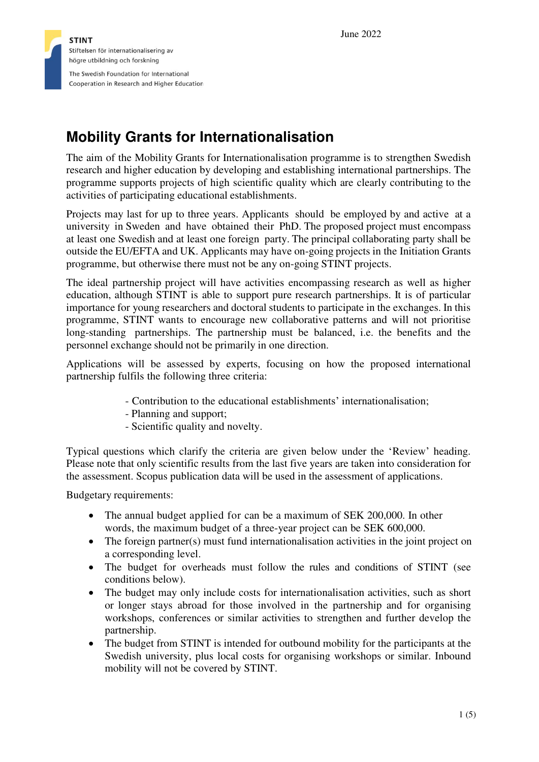

# **Mobility Grants for Internationalisation**

The aim of the Mobility Grants for Internationalisation programme is to strengthen Swedish research and higher education by developing and establishing international partnerships. The programme supports projects of high scientific quality which are clearly contributing to the activities of participating educational establishments.

Projects may last for up to three years. Applicants should be employed by and active at a university in Sweden and have obtained their PhD. The proposed project must encompass at least one Swedish and at least one foreign party. The principal collaborating party shall be outside the EU/EFTA and UK. Applicants may have on-going projects in the Initiation Grants programme, but otherwise there must not be any on-going STINT projects.

The ideal partnership project will have activities encompassing research as well as higher education, although STINT is able to support pure research partnerships. It is of particular importance for young researchers and doctoral students to participate in the exchanges. In this programme, STINT wants to encourage new collaborative patterns and will not prioritise long-standing partnerships. The partnership must be balanced, i.e. the benefits and the personnel exchange should not be primarily in one direction.

Applications will be assessed by experts, focusing on how the proposed international partnership fulfils the following three criteria:

- Contribution to the educational establishments' internationalisation;
- Planning and support;
- Scientific quality and novelty.

Typical questions which clarify the criteria are given below under the 'Review' heading. Please note that only scientific results from the last five years are taken into consideration for the assessment. Scopus publication data will be used in the assessment of applications.

Budgetary requirements:

- The annual budget applied for can be a maximum of SEK 200,000. In other words, the maximum budget of a three-year project can be SEK 600,000.
- The foreign partner(s) must fund internationalisation activities in the joint project on a corresponding level.
- The budget for overheads must follow the rules and conditions of STINT (see conditions below).
- The budget may only include costs for internationalisation activities, such as short or longer stays abroad for those involved in the partnership and for organising workshops, conferences or similar activities to strengthen and further develop the partnership.
- The budget from STINT is intended for outbound mobility for the participants at the Swedish university, plus local costs for organising workshops or similar. Inbound mobility will not be covered by STINT.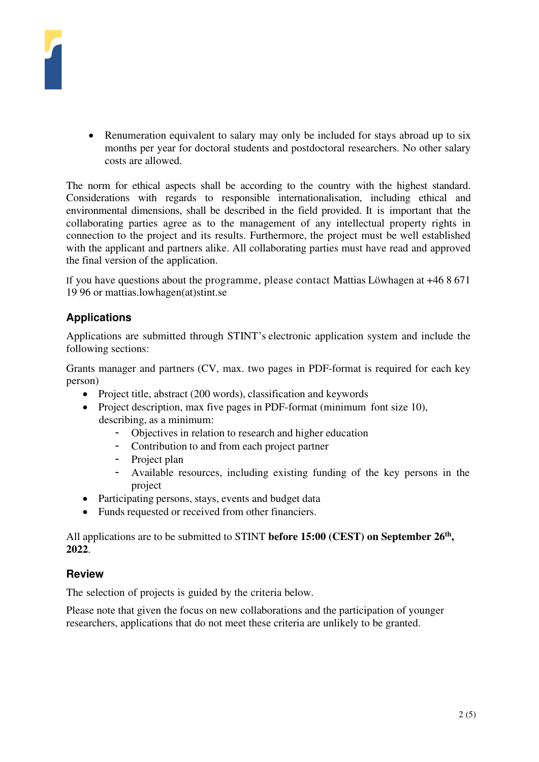

• Renumeration equivalent to salary may only be included for stays abroad up to six months per year for doctoral students and postdoctoral researchers. No other salary costs are allowed.

The norm for ethical aspects shall be according to the country with the highest standard. Considerations with regards to responsible internationalisation, including ethical and environmental dimensions, shall be described in the field provided. It is important that the collaborating parties agree as to the management of any intellectual property rights in connection to the project and its results. Furthermore, the project must be well established with the applicant and partners alike. All collaborating parties must have read and approved the final version of the application.

If you have questions about the programme, please contact Mattias Löwhagen at +46 8 671 19 96 or mattias.lowhagen(at)stint.se

## **Applications**

Applications are submitted through STINT's electronic application system and include the following sections:

Grants manager and partners (CV, max. two pages in PDF-format is required for each key person)

- Project title, abstract (200 words), classification and keywords
- Project description, max five pages in PDF-format (minimum font size 10), describing, as a minimum:
	- Objectives in relation to research and higher education
	- Contribution to and from each project partner
	- Project plan
	- Available resources, including existing funding of the key persons in the project
- Participating persons, stays, events and budget data
- Funds requested or received from other financiers.

All applications are to be submitted to STINT **before 15:00 (CEST) on September 26th , 2022**.

## **Review**

The selection of projects is guided by the criteria below.

Please note that given the focus on new collaborations and the participation of younger researchers, applications that do not meet these criteria are unlikely to be granted.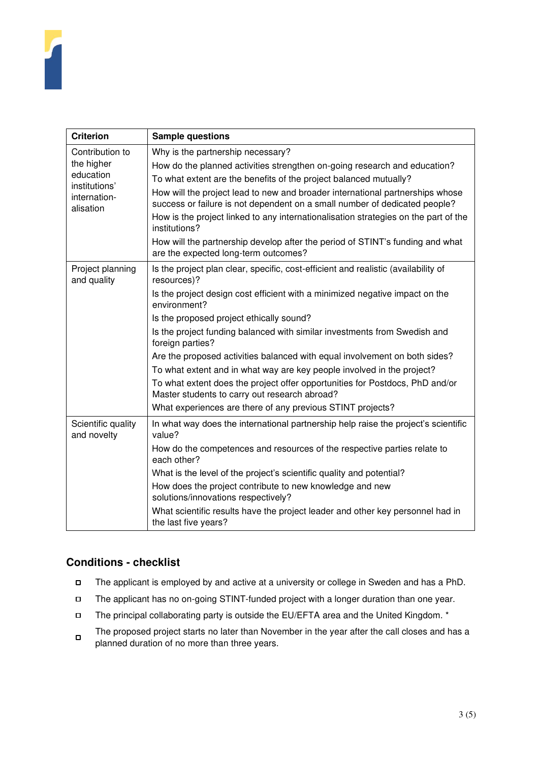

| <b>Criterion</b>                                                                         | <b>Sample questions</b>                                                                                                                                     |
|------------------------------------------------------------------------------------------|-------------------------------------------------------------------------------------------------------------------------------------------------------------|
| Contribution to<br>the higher<br>education<br>institutions'<br>internation-<br>alisation | Why is the partnership necessary?                                                                                                                           |
|                                                                                          | How do the planned activities strengthen on-going research and education?                                                                                   |
|                                                                                          | To what extent are the benefits of the project balanced mutually?                                                                                           |
|                                                                                          | How will the project lead to new and broader international partnerships whose<br>success or failure is not dependent on a small number of dedicated people? |
|                                                                                          | How is the project linked to any internationalisation strategies on the part of the<br>institutions?                                                        |
|                                                                                          | How will the partnership develop after the period of STINT's funding and what<br>are the expected long-term outcomes?                                       |
| Project planning<br>and quality                                                          | Is the project plan clear, specific, cost-efficient and realistic (availability of<br>resources)?                                                           |
|                                                                                          | Is the project design cost efficient with a minimized negative impact on the<br>environment?                                                                |
|                                                                                          | Is the proposed project ethically sound?                                                                                                                    |
|                                                                                          | Is the project funding balanced with similar investments from Swedish and<br>foreign parties?                                                               |
|                                                                                          | Are the proposed activities balanced with equal involvement on both sides?                                                                                  |
|                                                                                          | To what extent and in what way are key people involved in the project?                                                                                      |
|                                                                                          | To what extent does the project offer opportunities for Postdocs, PhD and/or<br>Master students to carry out research abroad?                               |
|                                                                                          | What experiences are there of any previous STINT projects?                                                                                                  |
| Scientific quality<br>and novelty                                                        | In what way does the international partnership help raise the project's scientific<br>value?                                                                |
|                                                                                          | How do the competences and resources of the respective parties relate to<br>each other?                                                                     |
|                                                                                          | What is the level of the project's scientific quality and potential?                                                                                        |
|                                                                                          | How does the project contribute to new knowledge and new<br>solutions/innovations respectively?                                                             |
|                                                                                          | What scientific results have the project leader and other key personnel had in<br>the last five years?                                                      |

## **Conditions - checklist**

- $\Box$ The applicant is employed by and active at a university or college in Sweden and has a PhD.
- $\Box$ The applicant has no on-going STINT-funded project with a longer duration than one year.
- $\Box$ The principal collaborating party is outside the EU/EFTA area and the United Kingdom. \*
- The proposed project starts no later than November in the year after the call closes and has a  $\Box$ planned duration of no more than three years.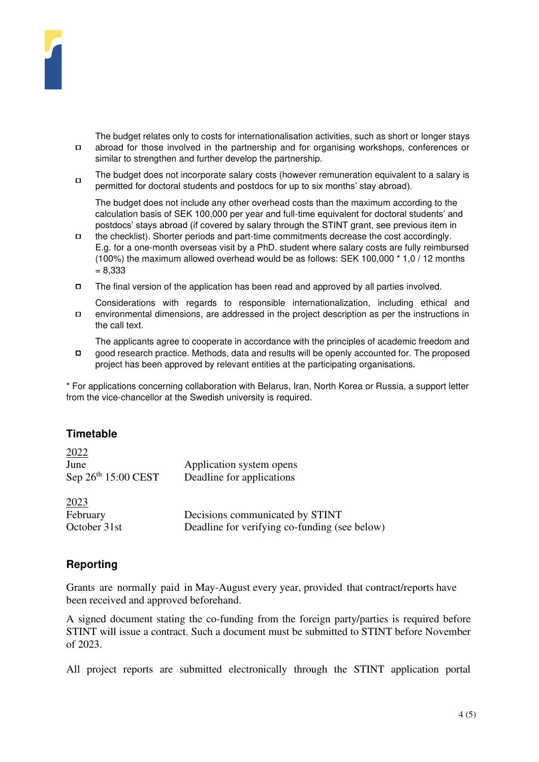

The budget relates only to costs for internationalisation activities, such as short or longer stays  $\Box$ abroad for those involved in the partnership and for organising workshops, conferences or similar to strengthen and further develop the partnership.

The budget does not incorporate salary costs (however remuneration equivalent to a salary is  $\Box$ permitted for doctoral students and postdocs for up to six months' stay abroad).

The budget does not include any other overhead costs than the maximum according to the calculation basis of SEK 100,000 per year and full-time equivalent for doctoral students' and postdocs' stays abroad (if covered by salary through the STINT grant, see previous item in

- $\Box$ the checklist). Shorter periods and part-time commitments decrease the cost accordingly. E.g. for a one-month overseas visit by a PhD. student where salary costs are fully reimbursed (100%) the maximum allowed overhead would be as follows: SEK 100,000 \* 1,0 / 12 months = 8,333
- The final version of the application has been read and approved by all parties involved.  $\Box$
- Considerations with regards to responsible internationalization, including ethical and  $\Box$ environmental dimensions, are addressed in the project description as per the instructions in the call text.

The applicants agree to cooperate in accordance with the principles of academic freedom and good research practice. Methods, data and results will be openly accounted for. The proposed  $\Box$ project has been approved by relevant entities at the participating organisations.

\* For applications concerning collaboration with Belarus, Iran, North Korea or Russia, a support letter from the vice-chancellor at the Swedish university is required.

## **Timetable**

| 2022                  |                                               |
|-----------------------|-----------------------------------------------|
| June                  | Application system opens                      |
| Sep $26th 15:00$ CEST | Deadline for applications                     |
| 2023                  |                                               |
| February              | Decisions communicated by STINT               |
| October 31st          | Deadline for verifying co-funding (see below) |

## **Reporting**

Grants are normally paid in May-August every year, provided that contract/reports have been received and approved beforehand.

A signed document stating the co-funding from the foreign party/parties is required before STINT will issue a contract. Such a document must be submitted to STINT before November of 2023.

All project reports are submitted electronically through the STINT application portal